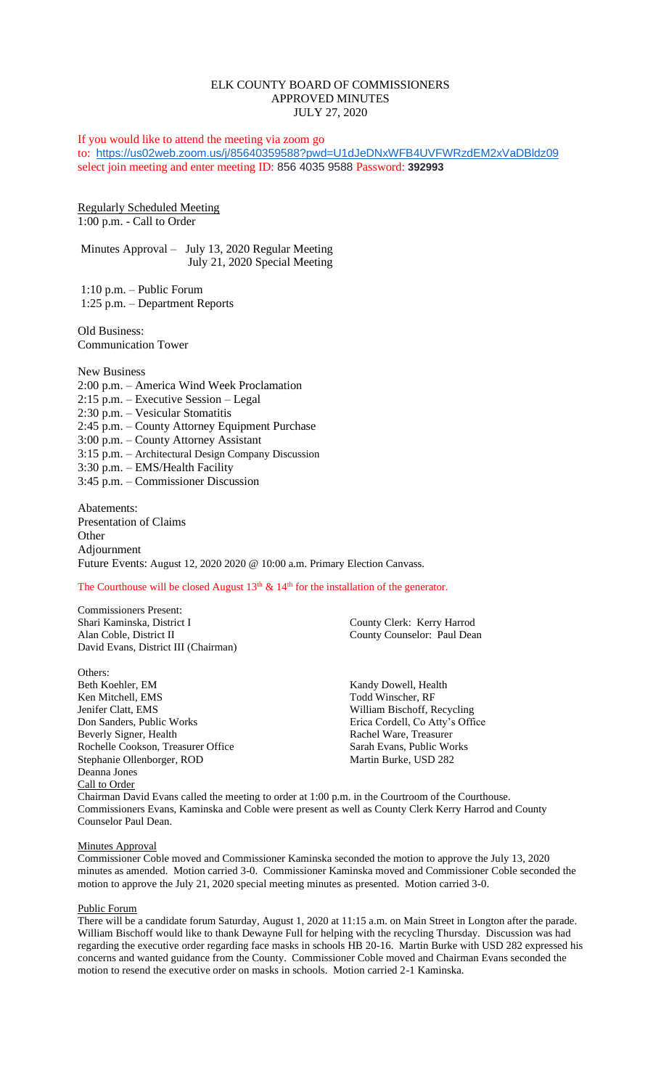# ELK COUNTY BOARD OF COMMISSIONERS APPROVED MINUTES JULY 27, 2020

If you would like to attend the meeting via zoom go to: <https://us02web.zoom.us/j/85640359588?pwd=U1dJeDNxWFB4UVFWRzdEM2xVaDBldz09> select join meeting and enter meeting ID: 856 4035 9588 Password: **392993**

Regularly Scheduled Meeting 1:00 p.m. - Call to Order

Minutes Approval – July 13, 2020 Regular Meeting July 21, 2020 Special Meeting

1:10 p.m. – Public Forum 1:25 p.m. – Department Reports

Old Business: Communication Tower

New Business 2:00 p.m. – America Wind Week Proclamation 2:15 p.m. – Executive Session – Legal 2:30 p.m. – Vesicular Stomatitis 2:45 p.m. – County Attorney Equipment Purchase 3:00 p.m. – County Attorney Assistant 3:15 p.m. – Architectural Design Company Discussion 3:30 p.m. – EMS/Health Facility 3:45 p.m. – Commissioner Discussion

Abatements: Presentation of Claims **Other** Adjournment Future Events: August 12, 2020 2020 @ 10:00 a.m. Primary Election Canvass.

The Courthouse will be closed August  $13<sup>th</sup>$  &  $14<sup>th</sup>$  for the installation of the generator.

Commissioners Present: Alan Coble, District II County Counselor: Paul Dean David Evans, District III (Chairman)

Others: Beth Koehler, EM Kandy Dowell, Health Ken Mitchell, EMS Todd Winscher, RF Ken Mitchell, EMS Jenifer Clatt, EMS<br>
Don Sanders, Public Works<br>
Erica Cordell, Co Atty's Offi Don Sanders, Public Works Erica Cordell, Co Atty's Office<br>Beverly Signer, Health Rachel Ware, Treasurer Rochelle Cookson, Treasurer Office Sarah Evans, Public Works Stephanie Ollenborger, ROD Martin Burke, USD 282 Deanna Jones Call to Order

County Clerk: Kerry Harrod

Rachel Ware, Treasurer

Chairman David Evans called the meeting to order at 1:00 p.m. in the Courtroom of the Courthouse. Commissioners Evans, Kaminska and Coble were present as well as County Clerk Kerry Harrod and County Counselor Paul Dean.

## Minutes Approval

Commissioner Coble moved and Commissioner Kaminska seconded the motion to approve the July 13, 2020 minutes as amended. Motion carried 3-0. Commissioner Kaminska moved and Commissioner Coble seconded the motion to approve the July 21, 2020 special meeting minutes as presented. Motion carried 3-0.

## Public Forum

There will be a candidate forum Saturday, August 1, 2020 at 11:15 a.m. on Main Street in Longton after the parade. William Bischoff would like to thank Dewayne Full for helping with the recycling Thursday. Discussion was had regarding the executive order regarding face masks in schools HB 20-16. Martin Burke with USD 282 expressed his concerns and wanted guidance from the County. Commissioner Coble moved and Chairman Evans seconded the motion to resend the executive order on masks in schools. Motion carried 2-1 Kaminska.